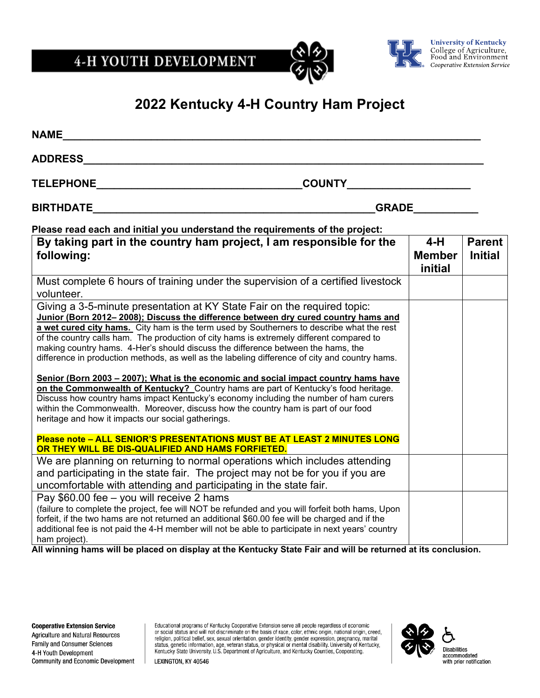4-H YOUTH DEVELOPMENT





**University of Kentucky<br>College of Agriculture,<br>Food and Environment** Cooperative Extension Service

## **2022 Kentucky 4-H Country Ham Project**

| <b>NAME</b>                                                                                                                                                                                                                                                                                                                                                                                                                                                                                                                                                                                                                                                                                                                                                                                                                                                                                                                                                                                                                                                                                       |                                   |                                 |
|---------------------------------------------------------------------------------------------------------------------------------------------------------------------------------------------------------------------------------------------------------------------------------------------------------------------------------------------------------------------------------------------------------------------------------------------------------------------------------------------------------------------------------------------------------------------------------------------------------------------------------------------------------------------------------------------------------------------------------------------------------------------------------------------------------------------------------------------------------------------------------------------------------------------------------------------------------------------------------------------------------------------------------------------------------------------------------------------------|-----------------------------------|---------------------------------|
| <b>ADDRESS</b>                                                                                                                                                                                                                                                                                                                                                                                                                                                                                                                                                                                                                                                                                                                                                                                                                                                                                                                                                                                                                                                                                    |                                   |                                 |
| <b>TELEPHONE</b><br><b>COUNTY Example 2008</b>                                                                                                                                                                                                                                                                                                                                                                                                                                                                                                                                                                                                                                                                                                                                                                                                                                                                                                                                                                                                                                                    |                                   |                                 |
| <b>BIRTHDATE</b><br><b>GRADE</b>                                                                                                                                                                                                                                                                                                                                                                                                                                                                                                                                                                                                                                                                                                                                                                                                                                                                                                                                                                                                                                                                  |                                   |                                 |
| Please read each and initial you understand the requirements of the project:                                                                                                                                                                                                                                                                                                                                                                                                                                                                                                                                                                                                                                                                                                                                                                                                                                                                                                                                                                                                                      |                                   |                                 |
| By taking part in the country ham project, I am responsible for the<br>following:                                                                                                                                                                                                                                                                                                                                                                                                                                                                                                                                                                                                                                                                                                                                                                                                                                                                                                                                                                                                                 | $4-H$<br><b>Member</b><br>initial | <b>Parent</b><br><b>Initial</b> |
| Must complete 6 hours of training under the supervision of a certified livestock<br>volunteer.                                                                                                                                                                                                                                                                                                                                                                                                                                                                                                                                                                                                                                                                                                                                                                                                                                                                                                                                                                                                    |                                   |                                 |
| Giving a 3-5-minute presentation at KY State Fair on the required topic:<br>Junior (Born 2012-2008); Discuss the difference between dry cured country hams and<br>a wet cured city hams. City ham is the term used by Southerners to describe what the rest<br>of the country calls ham. The production of city hams is extremely different compared to<br>making country hams. 4-Her's should discuss the difference between the hams, the<br>difference in production methods, as well as the labeling difference of city and country hams.<br>Senior (Born 2003 – 2007); What is the economic and social impact country hams have<br>on the Commonwealth of Kentucky? Country hams are part of Kentucky's food heritage.<br>Discuss how country hams impact Kentucky's economy including the number of ham curers<br>within the Commonwealth. Moreover, discuss how the country ham is part of our food<br>heritage and how it impacts our social gatherings.<br>Please note - ALL SENIOR'S PRESENTATIONS MUST BE AT LEAST 2 MINUTES LONG<br>OR THEY WILL BE DIS-QUALIFIED AND HAMS FORFIETED. |                                   |                                 |
| We are planning on returning to normal operations which includes attending<br>and participating in the state fair. The project may not be for you if you are<br>uncomfortable with attending and participating in the state fair.                                                                                                                                                                                                                                                                                                                                                                                                                                                                                                                                                                                                                                                                                                                                                                                                                                                                 |                                   |                                 |
| Pay \$60.00 fee - you will receive 2 hams<br>(failure to complete the project, fee will NOT be refunded and you will forfeit both hams, Upon<br>forfeit, if the two hams are not returned an additional \$60.00 fee will be charged and if the<br>additional fee is not paid the 4-H member will not be able to participate in next years' country<br>ham project).<br>All winning hams will be placed on display at the Kentucky State Fair and will be returned at its conclusion.                                                                                                                                                                                                                                                                                                                                                                                                                                                                                                                                                                                                              |                                   |                                 |

Agriculture and Natural Resources Family and Consumer Sciences 4-H Youth Development Community and Economic Development Educational programs of Kentucky Cooperative Extension serve all people regardless of economic<br>or social status and will not discriminate on the basis of race, color, ethnic origin, national origin, creed,<br>religion, politi



LEXINGTON, KY 40546